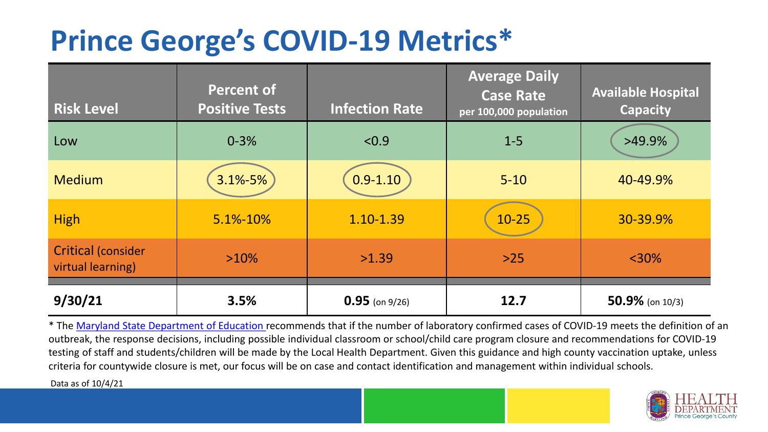## **Prince George's COVID-19 Metrics\***

| <b>Risk Level</b>                              | <b>Percent of</b><br><b>Positive Tests</b> | <b>Infection Rate</b> | <b>Average Daily</b><br><b>Case Rate</b><br>per 100,000 population | <b>Available Hospital</b><br><b>Capacity</b> |
|------------------------------------------------|--------------------------------------------|-----------------------|--------------------------------------------------------------------|----------------------------------------------|
| Low                                            | $0 - 3%$                                   | < 0.9                 | $1 - 5$                                                            | $>49.9\%$                                    |
| <b>Medium</b>                                  | $3.1\% - 5\%$                              | $0.9 - 1.10$          | $5 - 10$                                                           | 40-49.9%                                     |
| <b>High</b>                                    | 5.1%-10%                                   | 1.10-1.39             | $10 - 25$                                                          | 30-39.9%                                     |
| <b>Critical (consider</b><br>virtual learning) | $>10\%$                                    | >1.39                 | $>25$                                                              | $<$ 30%                                      |
| 9/30/21                                        | 3.5%                                       | $0.95$ (on 9/26)      | 12.7                                                               | $50.9\%$ (on 10/3)                           |

\* The [Maryland State Department of Education r](https://earlychildhood.marylandpublicschools.org/system/files/filedepot/3/covid_guidance_full_080420.pdf)ecommends that if the number of laboratory confirmed cases of COVID-19 meets the definition of an outbreak, the response decisions, including possible individual classroom or school/child care program closure and recommendations for COVID-19 testing of staff and students/children will be made by the Local Health Department. Given this guidance and high county vaccination uptake, unless criteria for countywide closure is met, our focus will be on case and contact identification and management within individual schools.

Data as of 10/4/21

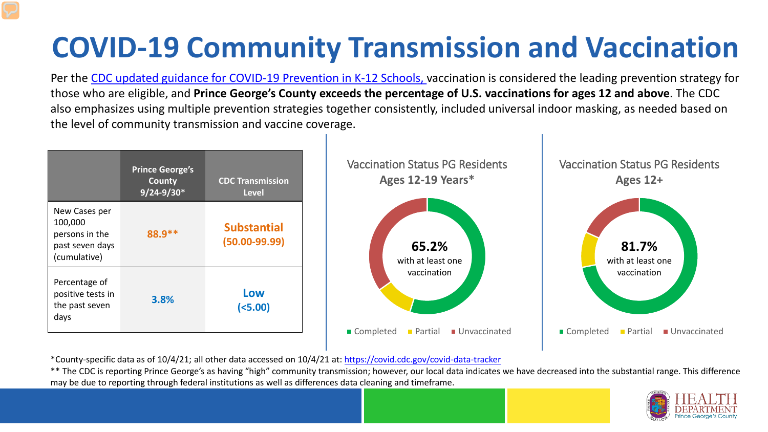# **COVID-19 Community Transmission and Vaccination**

Per the [CDC updated guidance for COVID-19 Prevention in K-12 Schools,](https://www.cdc.gov/coronavirus/2019-ncov/community/schools-childcare/k-12-guidance.html) vaccination is considered the leading prevention strategy for those who are eligible, and **Prince George's County exceeds the percentage of U.S. vaccinations for ages 12 and above**. The CDC also emphasizes using multiple prevention strategies together consistently, included universal indoor masking, as needed based on the level of community transmission and vaccine coverage.



\*County-specific data as of 10/4/21; all other data accessed on 10/4/21 at:<https://covid.cdc.gov/covid-data-tracker>

\*\* The CDC is reporting Prince George's as having "high" community transmission; however, our local data indicates we have decreased into the substantial range. This difference may be due to reporting through federal institutions as well as differences data cleaning and timeframe.

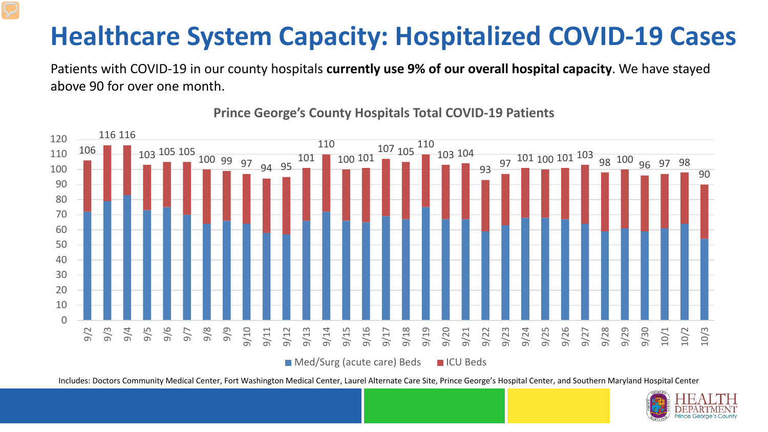#### **Healthcare System Capacity: Hospitalized COVID-19 Cases**

Patients with COVID-19 in our county hospitals **currently use 9% of our overall hospital capacity**. We have stayed above 90 for over one month.



**Prince George's County Hospitals Total COVID-19 Patients**

 $\blacksquare$  Med/Surg (acute care) Beds  $\blacksquare$  ICU Beds

Includes: Doctors Community Medical Center, Fort Washington Medical Center, Laurel Alternate Care Site, Prince George's Hospital Center, and Southern Maryland Hospital Center

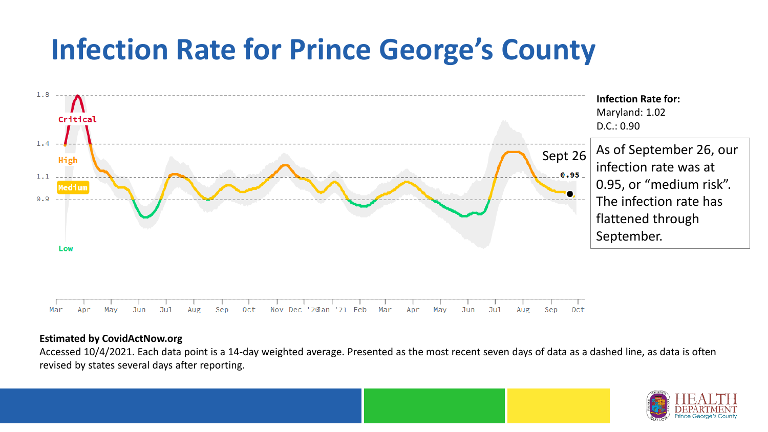## **Infection Rate for Prince George's County**



#### **Estimated by CovidActNow.org**

Accessed 10/4/2021. Each data point is a 14-day weighted average. Presented as the most recent seven days of data as a dashed line, as data is often revised by states several days after reporting.

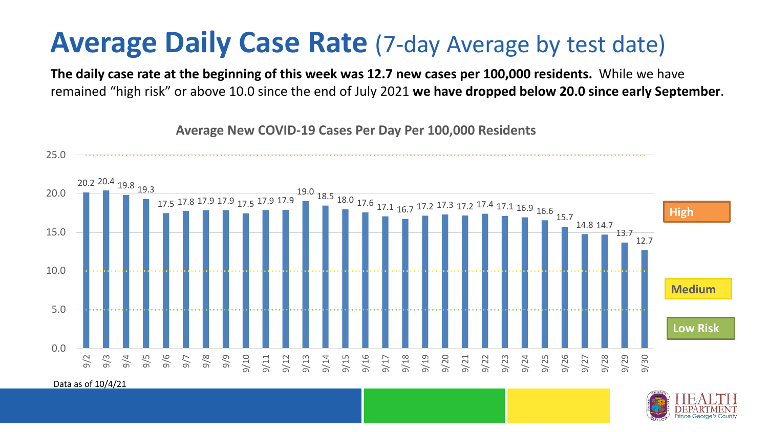### **Average Daily Case Rate** (7-day Average by test date)

**The daily case rate at the beginning of this week was 12.7 new cases per 100,000 residents.** While we have remained "high risk" or above 10.0 since the end of July 2021 **we have dropped below 20.0 since early September**.

20.2 20.4 19.8 19.3 17.5 17.8 17.9 17.9 17.5 17.9 17.9 19.0 18.5 18.0 17.6 17.1 16.7 17.2 17.3 17.2 17.4 17.1 16.9 16.6 15.7 14.8 14.7 13.7 12.7 0.0 5.0 10.0 15.0 20.0 25.0 9/2 9/3 9/4 9/5 9/6 9/7 9/8 9/9 9/10 9/11 9/12 9/13 9/14 9/15 9/16 9/17 9/18 9/19 9/20 9/21 9/22 9/23 9/24 9/25 9/26 9/27 9/28 9/29 9/30 **Low Risk**  Data as of 10/4/21 **Medium High**

**Average New COVID-19 Cases Per Day Per 100,000 Residents**